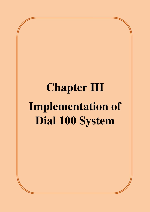# **Chapter III Implementation of Dial 100 System**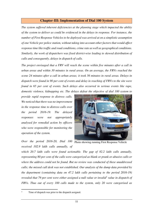## **Chapter**-**III: Implementation of Dial 100 System**

*The system suffered inherent deficiencies at the planning stage which impacted the ability of the system to deliver as could be evidenced in the delays in response. For instance, the number of First Response Vehicles to be deployed was arrived at on a simplistic assumption of one Vehicle per police station, without taking into account other factors that would affect response time like traffic and road conditions, crime rate as well as geographical conditions. Similarly, the work of dispatchers was fixed district-wise leading to skewed distribution of calls and consequently, delays in dispatch of calls.* 

*The project envisaged that a FRV will reach the scene within five minutes after a call in urban areas and within 30 minutes in rural areas. On an average, the FRVs reached the scene 24 minutes after a call in urban areas; it took 56 minutes in rural areas. Delays in dispatch were found in 90 per cent of events and delay in reaching of FRVs to the site were found in 65 per cent of events. Such delays also occurred in serious events like rape, domestic violence, kidnapping etc. The delays defeat the objective of dial 100 system to* 

*provide rapid response to distress calls. We noticed that there was no improvement in the response time to distress calls over the period 2016-19. The delayed responses were not appropriately analysed for remedial action by officers who were responsible for monitoring the operation of the system.* 



*Over the period 2016-20, Dial 100 received 102.9 lakh calls annually, of* 

Photo showing running First Response Vehicle

*which 20.7 lakh calls were found actionable. The gap of 82.2 lakh calls annually, representing 80 per cent of the calls were categorized as blank or prank or abusive calls or where the address could not be found. But no review was conducted of these unaddressed calls; the missed call desk was not established. Our analysis of the dump data provided by the department (containing data on 47.2 lakh calls pertaining to the period 2016-19)*  revealed that 79 per cent were either assigned a null value or invalid<sup>1</sup> value in dispatch of *FRVs. Thus out of every 100 calls made to the system, only 20 were categorised as* 

l

<sup>1</sup> Time of dispatch was prior to the dispatch assigned.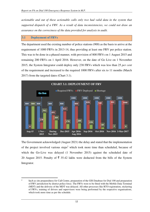*actionable and out of these actionable calls only two had valid data in the system that supported dispatch of a FRV. As a result of data inconsistencies, we could not draw an assurance on the correctness of the data provided for analysis in audit.* 

#### **3.1 Deployment of FRVs**

 $\overline{a}$ 

The department used the existing number of police stations (900) as the basis to arrive at the requirement of 1000 FRVs in 2013-14, thus providing at least one FRV per police station. This was to be done in a phased manner, with provision of 800 FRVs on 1 August 2015 and remaining 200 FRVs on 1 April 2016. However, on the date of Go Live on 1 November 2015, the System Integrator could deploy only 238 FRVs which was less than 25 *per cent* of the requirement and increased to the required 1000 FRVs after six to 11 months (March 2017) from the targeted dates (Chart 3.1).



The Government acknowledged (August 2021) the delay and stated that the implementation of the project involved various steps<sup>2</sup> which took more time than scheduled, because of which the Go-Live was delayed (1 November 2015) against the scheduled date of 20 August 2015. Penalty of  $\overline{\xi}$  35.42 lakhs were deducted from the bills of the System Integrator.

<sup>2</sup> Such as site preparedness for Call Centre, preparation of the GIS Database for Dial 100 and preparation of FRV jurisdiction by district police force. The FRVs were to be fitted with the Mobile Data Terminal (MDT) and the delivery of the MDT was delayed. All other processes like RTO registration, stickering of FRVs, training of drivers and supervisors were being performed by the respective organisations, which took more time as per the schedule.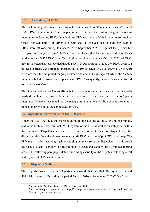## **3.1.1 Availability of FRVs**

The System Integrator was required to make available at least 95 *per cent* FRVs (950 out of 1000 FRVs) at any point of time as per contract. Further, the System Integrator was also required to replace any FRV, if the deployed FRV was not available for any reason such as repair, non-availability of driver, etc. Our analysis showed one to eight *per cent* of FRVs were off-road during January 2018 to September  $2020<sup>3</sup>$ . Against the permissible five *per cent* margin i.e., 49500 FRV days, we found that the non-availability of FRVs worked out to 29527 FRV days. Our physical verification (January/March 2021) of FRVs in eight selected districts revealed that 67 FRVs (24 *per cent*) out of total 274 FRVs deployed in these districts, were off-road. Further, out of 103 selected FRVs, 20 FRVs (19 *per cent*) were off-road for the period ranging between one and 111 days against which the System Integrator failed to provide any replacement FRV. Consequently, nearby FRVs were forced to share the workload.

The Government stated (August 2021) that in the event of unexpected increase in FRVs offroads throughout the project duration, the department issued warning letters to System Integrator. However, we noted that the meagre amount of penalty<sup>4</sup> did not have the salutary impact on provision of the contracted services.

## **3.2 Operational Performance of Dial 100 system**

Under the Dial 100, the dispatcher is required to dispatch the call to a FRV in one minute, and to the Mobile Data Terminal (MDT) system of the FRV as well as on web portal within three minutes. Dispatcher software assists in selection of FRV for dispatch and the dispatcher also finds the shortest route to guide FRV with the help of GIS based map. The FRV team— after receiving / acknowledging an event from the dispatcher —would reach the place of event (Scene) within five minutes in urban areas and within 30 minutes in rural areas. The following paragraphs detail our findings serially on (i) dispatch following a call and (ii) arrival of FRVs at the scene.

## **3.2.1 Dispatch of calls**

l

The Reports provided by the Department showed that the Dial 100 system received 514.4 lakh distress calls during the period January 2016 to September 2020 (Table 3.1).

<sup>3</sup> For November 2019 and January 2020, no data is available.

<sup>4</sup>  $\bar{\xi}$  500 per FRV per day from 31 to 45 days,  $\bar{\xi}$  1000 per FRV per day from 46 to 60 days and  $\bar{\xi}$  2000 per FRV per day more than 60 days.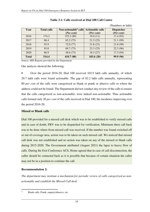| Year         | <b>Total calls</b> | Non-actionable <sup>5</sup> calls Actionable calls<br>(Per cent) | (Per cent) | <b>Dispatches</b><br>(Per cent) |
|--------------|--------------------|------------------------------------------------------------------|------------|---------------------------------|
| 2016         | 174.2              | 155.2(89)                                                        | 19.0(11)   | 17.4(92)                        |
| 2017         | 86.4               | 65.2(75)                                                         | 21.2(25)   | 21.1(99)                        |
| 2018         | 93.9               | 72.0(77)                                                         | 21.8(23)   | 21.8(99)                        |
| 2019         | 93.0               | 69.7(75)                                                         | 23.3(25)   | 22.3(96)                        |
| 2020         | 66.9               | 48.6(73)                                                         | 18.3(27)   | 17.3(94)                        |
| <b>Total</b> | 514.4              | 410.7(80)                                                        | 103.6(20)  | 99.9 (96)                       |

## **Table 3.1: Calls received at Dial 100 Call Centre**

(Numbers in lakh)

Source: MIS Reports provided by the Department.

Our analysis showed the following:

• Over the period 2016-20, Dial 100 received 102.9 lakh calls annually, of which 20.7 lakh calls were found actionable. The gap of 82.2 lakh calls annually, representing 80 *per cent* of the calls were categorized as blank or prank or abusive calls or where the address could not be found. The Department did not conduct any review of the calls to ensure that the calls categorized as non-actionable, were indeed non-actionable. Thus actionable calls formed only 20 *per cent* of the calls received in Dial 100, the incidence improving over the period 2016-20.

#### **Missed or Blank calls**

Dial 100 provided for a missed call desk which was to be established to verify missed calls and in case of doubt, FRV was to be dispatched for verification. Minimum three call back was to be done where from missed call was received. If the number was found switched off or out of coverage area, action was to be taken on such missed call. We noticed that missed call desk was not established and no action was taken on any of the missed or blank calls during 2015-2020. The Government attributed (August 2021) the lapse to heavy flow of calls. During the Exit Conference ACS, Home agreed that in case of call disconnection, the caller should be contacted back as it is possible that because of certain situation the caller may not be in a position to continue the call.

## **Recommendation 2:**

l

*The department may institute a mechanism for periodic review of calls categorized as nonactionable and establish the Missed Call desk.* 

<sup>5</sup> Blank calls, Prank, enquiry/abusive, etc.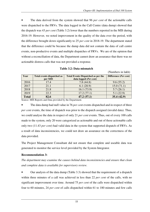(Numbers in lakh)

• The data derived from the system showed that 96 *per cent* of the actionable calls were dispatched to the FRVs. The data logged in the Call Centre (data dump) showed that the dispatch was 43 *per cent* (Table 3.2) lower than the numbers reported in the MIS during 2016-19. However, we noted improvement in the quality of the data over the period, with the difference brought down significantly to 25 *per cent* in 2018-19. The department stated that the difference could be because the dump data did not contain the data of call centre events, non-productive events and multiple dispatches of FRVs. We are of the opinion that without a reconciliation of data, the Department cannot draw an assurance that there was no actionable distress calls that was not provided a response.

| Year         | <b>Total events dispatched as</b> | <b>Total Events Dispatched as per the</b> | Difference (Per cent) |
|--------------|-----------------------------------|-------------------------------------------|-----------------------|
|              | per MIS                           | data logged (Per cent)                    |                       |
| 2016         | 17.4                              | 7.8(44.8)                                 | 9.6(55.2)             |
| 2017         | 21.1                              | 6.1(28.9)                                 | 15.0(71.1)            |
| 2018         | 21.8                              | 16.1(73.9)                                | 5.7(26.1)             |
| 2019         | 22.3                              | 17.2(77.1)                                | 5.1(22.9)             |
| <b>Total</b> | 82.6                              | 47.2(57.1)                                | 35.4(42.9)            |

**Table 3.2: Data mismatch**

Source: MIS Reports and Data provided by the Department.

• The data dump had null value in 76 *per cent* events dispatched and in respect of three *per cent* events, the time of dispatch was prior to the dispatch assigned (invalid data). Thus, we could analyse the data in respect of only 21 *per cent* events. Thus, out of every 100 calls made to the system, only 20 were categorized as actionable and out of these actionable calls only two (11.43 *per cent*) had valid data in the system that supported dispatch of FRVs. As a result of data inconsistencies, we could not draw an assurance on the correctness of the data provided.

The Project Management Consultant did not ensure that complete and useable data was generated to monitor the service level provided by the System Integrator.

## **Recommendation 3:**

*The department may examine the causes behind data inconsistencies and ensure that clean and complete data is available for supervisory review.* 

• Our analysis of the data dump (Table 3.3) showed that the requirement of a dispatch within three minutes of a call was achieved in less than 22 *per cent* of the calls, with no significant improvement over time. Around 75 *per cent* of the calls were dispatched within four to 60 minutes, 24 *per cent* of calls dispatched within 61 to 180 minutes and few calls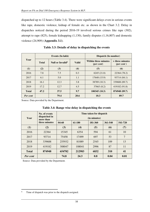dispatched up to 12 hours (Table 3.4). There were significant delays even in serious events like rape, domestic violence, kidnap of female etc. as shown in the Chart 3.2. Delay in dispatches noticed during the period 2016-19 involved serious crimes like rape (302), attempt to rape (825), female kidnapping (1,130), family disputes (1,16,807) and domestic violence (24,909) (**Appendix 3.1**).

|              |              | Events (In lakh)             |              | Dispatch (In number)                               |                                        |  |  |
|--------------|--------------|------------------------------|--------------|----------------------------------------------------|----------------------------------------|--|--|
| Year         | <b>Total</b> | Null or Invalid <sup>6</sup> | <b>Valid</b> | <b>Within three minutes</b><br>( <i>per cent</i> ) | > three minutes<br>$(\text{per cent})$ |  |  |
| (1)          | (2)          | (3)                          | (4)          | (5)                                                | (6)                                    |  |  |
| 2016         | 7.8          | 7.5                          | 0.3          | 6245(21.8)                                         | 22364 (78.2)                           |  |  |
| 2017         | 6.1          | 5.0                          | 1.1          | 17648 (15.9)                                       | 93714 (84.1)                           |  |  |
| 2018         | 16.1         | 12.3                         | 3.8          | 38789 (10.3)                                       | 339688 (89.7)                          |  |  |
| 2019         | 17.2         | 12.7                         | 4.5          | 37663 (8.2)                                        | 419182 (91.8)                          |  |  |
| <b>Total</b> | 47.2         | 37.5                         | 9.7          | 100345(10.3)                                       | 874948 (89.7)                          |  |  |
| Per cent     |              | 79.4                         | <b>20.6</b>  | 10.3                                               | 89.7                                   |  |  |

**Table 3.3: Details of delay in dispatching the events** 

Source: Data provided by the Department.

| Year            | No. of events<br>dispatched in<br>more than | Time taken for dispatch<br>(in minutes) |                             |         |         |                |  |  |  |  |
|-----------------|---------------------------------------------|-----------------------------------------|-----------------------------|---------|---------|----------------|--|--|--|--|
|                 | three minutes                               | $04 - 60$                               | 61-180                      | 181-360 | 361-540 | 541-720        |  |  |  |  |
| (1)             | (2)                                         | (3)                                     | (4)                         | (5)     | (6)     | (7)            |  |  |  |  |
| 2016            | 22364                                       | 15345                                   | 6354                        | 594     | 61      | 10             |  |  |  |  |
| 2017            | 93714                                       | 75458                                   | 17499                       | 697     | 53      | $\overline{7}$ |  |  |  |  |
| 2018            | 339688                                      | 255932                                  | 81089                       | 2545    | 109     | 13             |  |  |  |  |
| 2019            | 419182                                      | 308047                                  | 108041                      | 2996    | 87      | 11             |  |  |  |  |
| <b>Total</b>    | 874948                                      | 654782                                  | 41<br>212983<br>6832<br>310 |         |         |                |  |  |  |  |
| <b>Per cent</b> |                                             | 74.8                                    | 24.3                        | 0.8     | 0.04    | 0.01           |  |  |  |  |

**Table 3.4: Range wise delay in dispatching the events** 

Source: Data provided by the Department.

l

<sup>6</sup> Time of dispatch was prior to the dispatch assigned.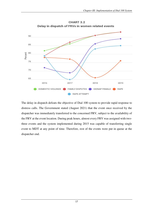

CHART 3.2 Delay in dispatch of FRVs in women related events

The delay in dispatch defeats the objective of Dial 100 system to provide rapid response to distress calls. The Government stated (August 2021) that the event once received by the dispatcher was immediately transferred to the concerned FRV, subject to the availability of the FRV at the event location. During peak hours, almost every FRV was assigned with twothree events and the system implemented during 2015 was capable of transferring single event to MDT at any point of time. Therefore, rest of the events were put in queue at the dispatcher end.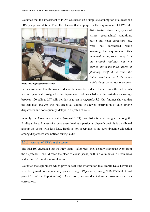We noted that the assessment of FRVs was based on a simplistic assumption of at least one FRV per police station. The other factors that impinge on the requirement of FRVs like



district-wise crime rate, types of crimes, geographical conditions, traffic and road conditions etc, were not considered while assessing the requirement. *This indicated that a proper analysis of the ground realities was not carried out at the intial stages of planning, itself. As a result the FRVs could not reach the scene within the targetted response time.* 

**Photo showing dispatchers' section**

Further we noted that the work of dispatchers was fixed district wise. Since the call details are not dynamically assigned to the dispatchers, load on each dispatcher varied on an average between 120 calls to 297 calls per day as given in *Appendix 3.2*. Our findings showed that the call load analysis was not effective, leading to skewed distribution of calls among dispatchers and consequently, delays in dispatch of calls.

In reply the Government stated (August 2021) that districts were assigned among the 24 dispatchers. In case of excess event load at a particular dispatch desk, it is distributed among the desks with less load. Reply is not acceptable as no such dynamic allocation among dispatchers was noticed during audit.

#### **3.2.2 Arrival of FRVs at the scene**

The Dial 100 envisaged that the FRV team— after receiving / acknowledging an event from the dispatcher —would reach the place of event (scene) within five minutes in urban areas and within 30 minutes in rural areas.

We noted that equipment which provide real time information like Mobile Data Terminals were being used non-sequentially (on an average, 49 *per cent)* during 2016-19 (Table 4.3 of para 4.2.1 of the Report refers). As a result, we could not draw an assurance on data correctness.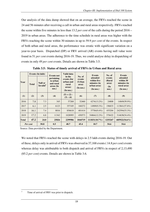Our analysis of the data dump showed that on an average, the FRVs reached the scene in 24 and 56 minutes after receiving a call in urban and rural areas respectively. FRVs reached the scene within five minutes in less than 13.2 *per cent* of the calls during the period 2016 – 2019 in urban areas. The adherence to the time schedule in rural areas was higher with the FRVs reaching the scene within 30 minutes in up to 59.9 *per cent* of the events. In respect of both urban and rural areas, the performance was erratic with significant variation on a year-to-year basis. Dispatched (DP) or FRV arrived (AR) events having null value were found in 51 *per cent* events during 2016-19. Thus, we could analyse delay in dispatching of events in only 49 *per cent* events. Details are shown in Table 3.5.

|              |              | Events (In lakh)       | Events not                                                                                                                      | Valid data                   |                                                   | <b>Events</b>                                                      | No. of                                   | <b>Events</b>                                                    |
|--------------|--------------|------------------------|---------------------------------------------------------------------------------------------------------------------------------|------------------------------|---------------------------------------------------|--------------------------------------------------------------------|------------------------------------------|------------------------------------------------------------------|
| Year         | <b>Total</b> | Null or<br>Invalid $7$ | in the<br>pertaining<br>events (for<br>to urban<br>urban and<br>and rural<br>rural<br>areas (In<br>areas)<br>nos.)<br>(In nos.) |                              | No. of<br>events<br>(Urban)<br>area)<br>(In nos.) | attended<br>within five<br>minutes (in<br>urban area)<br>(In nos.) | events<br>(Rural<br>area)<br>(In<br>nos. | attended<br>within 30<br>minutes (in<br>rural area)<br>(In nos.) |
| (1)          | (2)          | (3)                    | (4)                                                                                                                             | $(5) = (2) -$<br>$(3) - (4)$ | (6)                                               | (7)                                                                | (8)                                      | (9)                                                              |
| 2016         | 7.8          | 7.3                    | 345                                                                                                                             | 57268                        | 32460                                             | 4274(13.2%)                                                        | 24808                                    | 14849(59.9%)                                                     |
| 2017         | 6.1          | 2.5                    | 6123                                                                                                                            | 357105                       | 160272                                            | 14909(9.3%)                                                        | 196833                                   | 113841(57.8%)                                                    |
| 2018         | 16.1         | 7.4                    | 8016                                                                                                                            | 856618                       | 401414                                            | 37784(9.4%)                                                        | 455204                                   | 242594(53.3%)                                                    |
| 2019         | 17.2         | 6.8                    | 11342                                                                                                                           | 1028995                      | 450573<br>54864(12.2%)                            |                                                                    | 578422                                   | 314638(54.4%)                                                    |
| <b>Total</b> | 47.2         | 24.0                   | 25826                                                                                                                           | 2299986                      | 1044719                                           | 111831(10.7%)                                                      | 1255267                                  | $685922(54.6\%)$                                                 |
| Per cent     |              | 50.8                   | 0.5                                                                                                                             | 48.7                         | 45.4                                              | 10.7                                                               | 54.6                                     | 54.6                                                             |

**Table 3.5: Status of timely arrival of FRVs in Urban and Rural area** 

Source: Data provided by the Department.

We noted that FRVs reached the scene with delays in 2.5 lakh events during 2016-19. Out of these, delays only in arrival of FRVs was observed in 37,168 events ( 14.8 *per cent*) events whereas delay was attributable to both dispatch and arrival of FRVs in respect of 2,13,490 (85.2 *per cent*) events. Details are shown in Table 3.6.

l

<sup>7</sup> Time of arrival of FRV was prior to dispatch.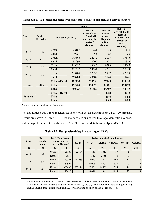|                 |                            |                      |         | <b>Events</b>                                                                                   |                                                                  |                                                                                                  |
|-----------------|----------------------------|----------------------|---------|-------------------------------------------------------------------------------------------------|------------------------------------------------------------------|--------------------------------------------------------------------------------------------------|
| Year            | <b>Total</b><br>(In lakhs) | With delay (In nos.) |         | <b>Having</b><br>value of DA,<br>DP and AR<br>and delay in<br>arrival <sup>8</sup><br>(In nos.) | Delay in<br>arrival<br>where<br>dispatch<br>in time<br>(In nos.) | Delay in<br>arrival due to<br>delay in<br>dispatch and<br>arrival of<br><b>FRVs</b><br>(In nos.) |
| 2016            | 7.8                        | Urban                | 28186   | 224                                                                                             | 108                                                              | 116                                                                                              |
|                 |                            | Rural                | 9959    | 63                                                                                              | 35                                                               | 28                                                                                               |
| 2017            | 6.1                        | Urban                | 145363  | 22772                                                                                           | 5097                                                             | 17675                                                                                            |
|                 |                            | Rural                | 82992   | 12909                                                                                           | 2527                                                             | 10382                                                                                            |
|                 | 16.1                       | Urban                | 363630  | 63646                                                                                           | 9599                                                             | 54047                                                                                            |
| 2018            |                            | Rural                | 212610  | 35099                                                                                           | 4661                                                             | 30438                                                                                            |
|                 |                            | Urban                | 395709  | 72336                                                                                           | 9997                                                             | 62339                                                                                            |
| 2019            | 17.2                       | Rural                | 263784  | 43609                                                                                           | 5144                                                             | 38465                                                                                            |
|                 |                            | Urban+Rural          | 1502233 | 250658                                                                                          | 37168                                                            | 213490                                                                                           |
| <b>Total</b>    | 47.2                       | <b>Urban</b>         | 932888  | 158978                                                                                          | 24801                                                            | 134177                                                                                           |
|                 |                            | <b>Rural</b>         | 569345  | 91680                                                                                           | 12367                                                            | 79313                                                                                            |
|                 |                            | Urban+Rural          |         |                                                                                                 | 14.8                                                             | 85.2                                                                                             |
| <b>Per cent</b> |                            | <b>Urban</b>         |         |                                                                                                 | 15.6                                                             | 84.4                                                                                             |
|                 |                            | <b>Rural</b>         |         |                                                                                                 | 13.5                                                             | 86.5                                                                                             |

| Table 3.6: FRVs reached the scene with delay due to delay in dispatch and arrival of FRVs |  |  |
|-------------------------------------------------------------------------------------------|--|--|
|                                                                                           |  |  |

(Source: Data provided by the Department)

 $\overline{a}$ 

We also noticed that FRVs reached the scene with delays ranging from 31 to 720 minutes. Details are shown in Table 3.7. These included serious events like rape, domestic violence, and kidnap of female etc. as shown in Chart 3.3. Further details are at *Appendix 3.3*.

|      | <b>Total</b>        |                                     | <b>Total No. of events</b> |           | Delay in arrival (in minutes) |        |         |         |         |  |  |  |
|------|---------------------|-------------------------------------|----------------------------|-----------|-------------------------------|--------|---------|---------|---------|--|--|--|
| Year | events<br>(In lakh) | where delay in<br>arrival (In nos.) |                            | $06 - 30$ | $31 - 60$                     | 61-180 | 181-360 | 361-540 | 541-720 |  |  |  |
| (1)  | (2)                 | (3)                                 | (4)                        | (5)       | (6)                           | (7)    | (8)     | (9)     | (10)    |  |  |  |
|      | 7.8                 | Urban                               | 28186                      | 22504     | 4646                          | 1013   | 17      |         |         |  |  |  |
| 2016 |                     | Rural                               | 9959                       |           | 7347                          | 2558   | 48      | 3       | 3       |  |  |  |
| 2017 | 6.1                 | Urban                               | 145363                     | 112983    | 24910                         | 7291   | 165     | 12      | 2       |  |  |  |
|      |                     | Rural                               | 82992                      |           | 58003                         | 24302  | 654     | 27      | 6       |  |  |  |
| 2018 |                     | Urban                               | 363630                     | 277174    | 67556                         | 18555  | 325     | 14      | 6       |  |  |  |
|      | 16.1                | Rural                               | 212610                     |           | 148081                        | 63341  | 1155    | 27      | 6       |  |  |  |

**Table 3.7: Range wise delay in reaching of FRVs** 

<sup>8</sup> Calculation was done in two stage: (1) the difference of valid data (excluding Null  $&$  Invalid data entries) of AR and DP for calculating delay in arrival of FRVs, and (2) the difference of valid data (excluding Null & Invalid data entries) of DP and DA for calculating position of dispatches of FRVs*.*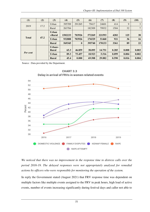| (1)          | (2)  | (3)                    | (4)     | (5)              | (6)    | (7)    | (8)   | (9)   | (10)  |
|--------------|------|------------------------|---------|------------------|--------|--------|-------|-------|-------|
| 2019         |      | Urban                  | 395709  | 291265           | 79417  | 24601  | 414   | 9     | 3     |
|              | 17.2 | Rural                  | 263784  |                  | 182309 | 79932  | 1504  | 32    | 7     |
|              |      | <b>Urban</b><br>+Rural | 1502233 | 703926           | 572269 | 221593 | 4282  | 125   | 38    |
| <b>Total</b> | 47.2 | <b>Urban</b>           | 932888  | 703926           | 176529 | 51460  | 921   | 36    | 16    |
|              |      | <b>Rural</b>           | 569345  | $\boldsymbol{0}$ | 395740 | 170133 | 3361  | 89    | 22    |
| Per cent     |      | Urban+<br><b>Rural</b> | 65.3    | 46.859           | 38.095 | 14.751 | 0.285 | 0.008 | 0.003 |
|              |      | <b>Urban</b>           | 89.3    | 75.457           | 18.923 | 5.516  | 0.099 | 0.004 | 0.002 |
|              |      | <b>Rural</b>           | 45.4    | 0.000            | 69.508 | 29.882 | 0.590 | 0.016 | 0.004 |

Source : Data provided by the Department.



CHART 3.3 Delay in arrival of FRVs in women related events

*We noticed that there was no improvement in the response time to distress calls over the period 2016-19. The delayed responses were not appropriately analysed for remedial actions by officers who were responsible for monitoring the operation of the system.* 

In reply the Government stated (August 2021) that FRV response time was dependent on multiple factors like multiple events assigned to the FRV in peak hours, high load of active events, number of events increasing significantly during festival days and caller not able to